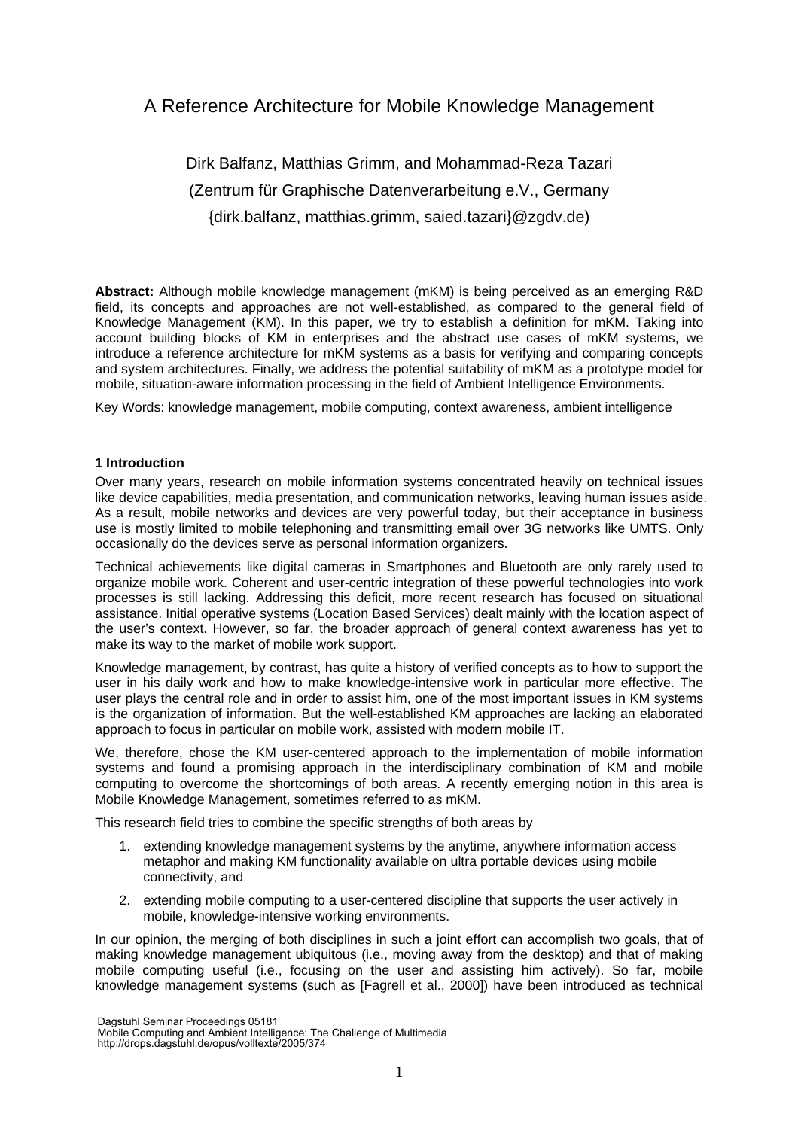# A Reference Architecture for Mobile Knowledge Management

# Dirk Balfanz, Matthias Grimm, and Mohammad-Reza Tazari (Zentrum für Graphische Datenverarbeitung e.V., Germany {dirk.balfanz, matthias.grimm, saied.tazari}@zgdv.de)

**Abstract:** Although mobile knowledge management (mKM) is being perceived as an emerging R&D field, its concepts and approaches are not well-established, as compared to the general field of Knowledge Management (KM). In this paper, we try to establish a definition for mKM. Taking into account building blocks of KM in enterprises and the abstract use cases of mKM systems, we introduce a reference architecture for mKM systems as a basis for verifying and comparing concepts and system architectures. Finally, we address the potential suitability of mKM as a prototype model for mobile, situation-aware information processing in the field of Ambient Intelligence Environments.

Key Words: knowledge management, mobile computing, context awareness, ambient intelligence

# **1 Introduction**

Over many years, research on mobile information systems concentrated heavily on technical issues like device capabilities, media presentation, and communication networks, leaving human issues aside. As a result, mobile networks and devices are very powerful today, but their acceptance in business use is mostly limited to mobile telephoning and transmitting email over 3G networks like UMTS. Only occasionally do the devices serve as personal information organizers.

Technical achievements like digital cameras in Smartphones and Bluetooth are only rarely used to organize mobile work. Coherent and user-centric integration of these powerful technologies into work processes is still lacking. Addressing this deficit, more recent research has focused on situational assistance. Initial operative systems (Location Based Services) dealt mainly with the location aspect of the user's context. However, so far, the broader approach of general context awareness has yet to make its way to the market of mobile work support.

Knowledge management, by contrast, has quite a history of verified concepts as to how to support the user in his daily work and how to make knowledge-intensive work in particular more effective. The user plays the central role and in order to assist him, one of the most important issues in KM systems is the organization of information. But the well-established KM approaches are lacking an elaborated approach to focus in particular on mobile work, assisted with modern mobile IT.

We, therefore, chose the KM user-centered approach to the implementation of mobile information systems and found a promising approach in the interdisciplinary combination of KM and mobile computing to overcome the shortcomings of both areas. A recently emerging notion in this area is Mobile Knowledge Management, sometimes referred to as mKM.

This research field tries to combine the specific strengths of both areas by

- 1. extending knowledge management systems by the anytime, anywhere information access metaphor and making KM functionality available on ultra portable devices using mobile connectivity, and
- 2. extending mobile computing to a user-centered discipline that supports the user actively in mobile, knowledge-intensive working environments.

In our opinion, the merging of both disciplines in such a joint effort can accomplish two goals, that of making knowledge management ubiquitous (i.e., moving away from the desktop) and that of making mobile computing useful (i.e., focusing on the user and assisting him actively). So far, mobile knowledge management systems (such as [Fagrell et al., 2000]) have been introduced as technical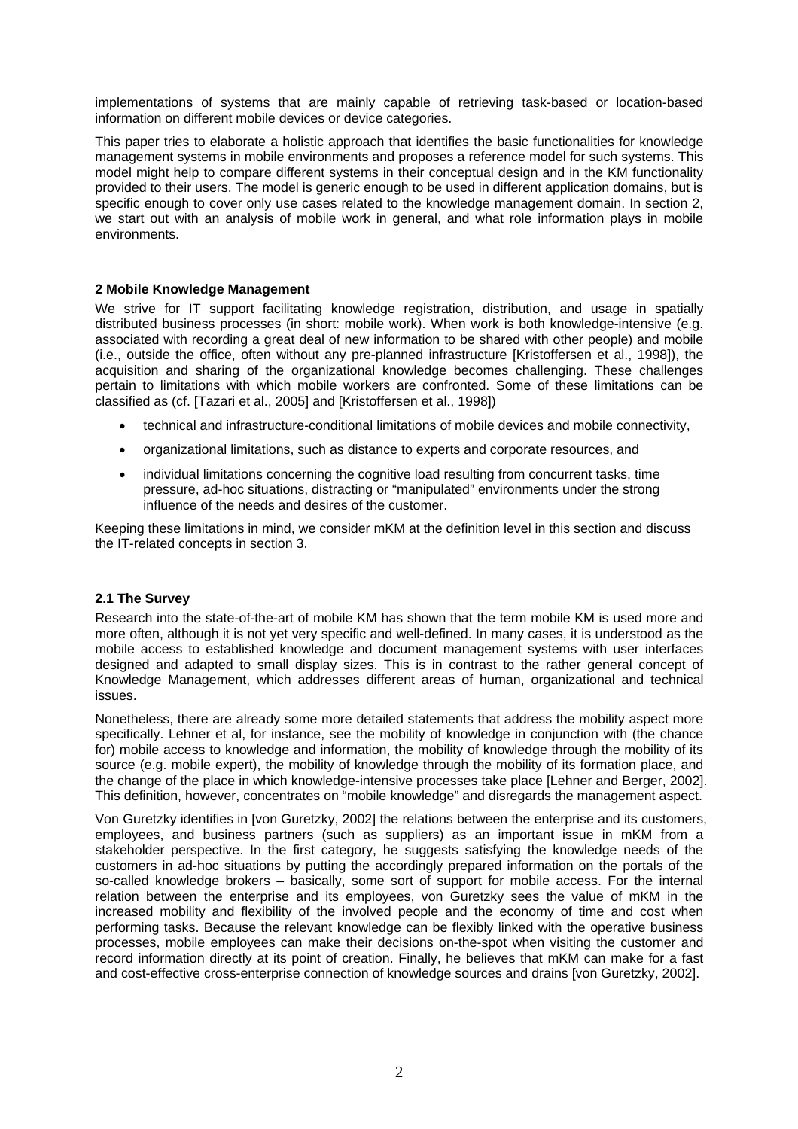implementations of systems that are mainly capable of retrieving task-based or location-based information on different mobile devices or device categories.

This paper tries to elaborate a holistic approach that identifies the basic functionalities for knowledge management systems in mobile environments and proposes a reference model for such systems. This model might help to compare different systems in their conceptual design and in the KM functionality provided to their users. The model is generic enough to be used in different application domains, but is specific enough to cover only use cases related to the knowledge management domain. In section 2, we start out with an analysis of mobile work in general, and what role information plays in mobile environments.

# **2 Mobile Knowledge Management**

We strive for IT support facilitating knowledge registration, distribution, and usage in spatially distributed business processes (in short: mobile work). When work is both knowledge-intensive (e.g. associated with recording a great deal of new information to be shared with other people) and mobile (i.e., outside the office, often without any pre-planned infrastructure [Kristoffersen et al., 1998]), the acquisition and sharing of the organizational knowledge becomes challenging. These challenges pertain to limitations with which mobile workers are confronted. Some of these limitations can be classified as (cf. [Tazari et al., 2005] and [Kristoffersen et al., 1998])

- technical and infrastructure-conditional limitations of mobile devices and mobile connectivity,
- organizational limitations, such as distance to experts and corporate resources, and
- individual limitations concerning the cognitive load resulting from concurrent tasks, time pressure, ad-hoc situations, distracting or "manipulated" environments under the strong influence of the needs and desires of the customer.

Keeping these limitations in mind, we consider mKM at the definition level in this section and discuss the IT-related concepts in section 3.

#### **2.1 The Survey**

Research into the state-of-the-art of mobile KM has shown that the term mobile KM is used more and more often, although it is not yet very specific and well-defined. In many cases, it is understood as the mobile access to established knowledge and document management systems with user interfaces designed and adapted to small display sizes. This is in contrast to the rather general concept of Knowledge Management, which addresses different areas of human, organizational and technical issues.

Nonetheless, there are already some more detailed statements that address the mobility aspect more specifically. Lehner et al, for instance, see the mobility of knowledge in conjunction with (the chance for) mobile access to knowledge and information, the mobility of knowledge through the mobility of its source (e.g. mobile expert), the mobility of knowledge through the mobility of its formation place, and the change of the place in which knowledge-intensive processes take place [Lehner and Berger, 2002]. This definition, however, concentrates on "mobile knowledge" and disregards the management aspect.

Von Guretzky identifies in [von Guretzky, 2002] the relations between the enterprise and its customers, employees, and business partners (such as suppliers) as an important issue in mKM from a stakeholder perspective. In the first category, he suggests satisfying the knowledge needs of the customers in ad-hoc situations by putting the accordingly prepared information on the portals of the so-called knowledge brokers – basically, some sort of support for mobile access. For the internal relation between the enterprise and its employees, von Guretzky sees the value of mKM in the increased mobility and flexibility of the involved people and the economy of time and cost when performing tasks. Because the relevant knowledge can be flexibly linked with the operative business processes, mobile employees can make their decisions on-the-spot when visiting the customer and record information directly at its point of creation. Finally, he believes that mKM can make for a fast and cost-effective cross-enterprise connection of knowledge sources and drains [von Guretzky, 2002].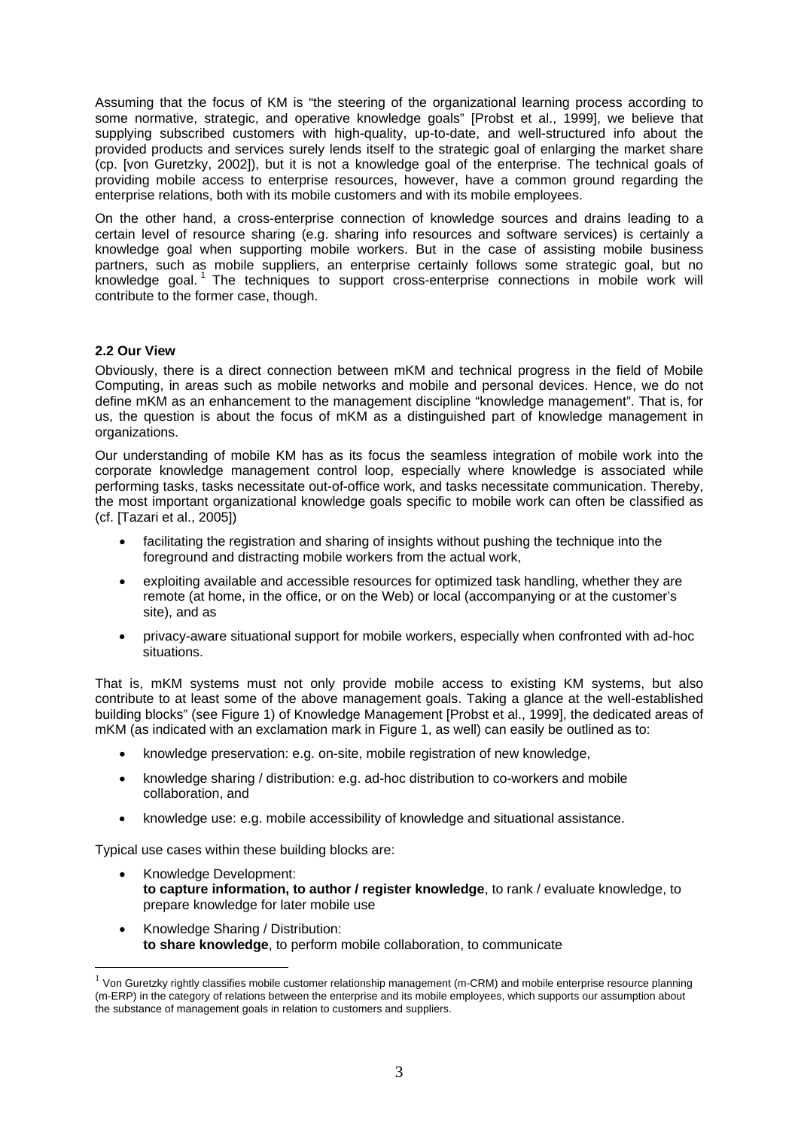Assuming that the focus of KM is "the steering of the organizational learning process according to some normative, strategic, and operative knowledge goals" [Probst et al., 1999], we believe that supplying subscribed customers with high-quality, up-to-date, and well-structured info about the provided products and services surely lends itself to the strategic goal of enlarging the market share (cp. [von Guretzky, 2002]), but it is not a knowledge goal of the enterprise. The technical goals of providing mobile access to enterprise resources, however, have a common ground regarding the enterprise relations, both with its mobile customers and with its mobile employees.

On the other hand, a cross-enterprise connection of knowledge sources and drains leading to a certain level of resource sharing (e.g. sharing info resources and software services) is certainly a knowledge goal when supporting mobile workers. But in the case of assisting mobile business partners, such as mobile suppliers, an enterprise certainly follows some strategic goal, but no knowledge goal. 1 The techniques to support cross-enterprise connections in mobile work will contribute to the former case, though.

# **2.2 Our View**

 $\overline{a}$ 

Obviously, there is a direct connection between mKM and technical progress in the field of Mobile Computing, in areas such as mobile networks and mobile and personal devices. Hence, we do not define mKM as an enhancement to the management discipline "knowledge management". That is, for us, the question is about the focus of mKM as a distinguished part of knowledge management in organizations.

Our understanding of mobile KM has as its focus the seamless integration of mobile work into the corporate knowledge management control loop, especially where knowledge is associated while performing tasks, tasks necessitate out-of-office work, and tasks necessitate communication. Thereby, the most important organizational knowledge goals specific to mobile work can often be classified as (cf. [Tazari et al., 2005])

- facilitating the registration and sharing of insights without pushing the technique into the foreground and distracting mobile workers from the actual work,
- exploiting available and accessible resources for optimized task handling, whether they are remote (at home, in the office, or on the Web) or local (accompanying or at the customer's site), and as
- privacy-aware situational support for mobile workers, especially when confronted with ad-hoc situations.

That is, mKM systems must not only provide mobile access to existing KM systems, but also contribute to at least some of the above management goals. Taking a glance at the well-established building blocks" (see Figure 1) of Knowledge Management [Probst et al., 1999], the dedicated areas of mKM (as indicated with an exclamation mark in Figure 1, as well) can easily be outlined as to:

- knowledge preservation: e.g. on-site, mobile registration of new knowledge,
- knowledge sharing / distribution: e.g. ad-hoc distribution to co-workers and mobile collaboration, and
- knowledge use: e.g. mobile accessibility of knowledge and situational assistance.

Typical use cases within these building blocks are:

- Knowledge Development: **to capture information, to author / register knowledge**, to rank / evaluate knowledge, to prepare knowledge for later mobile use
- Knowledge Sharing / Distribution: **to share knowledge**, to perform mobile collaboration, to communicate

 $1$  Von Guretzky rightly classifies mobile customer relationship management (m-CRM) and mobile enterprise resource planning (m-ERP) in the category of relations between the enterprise and its mobile employees, which supports our assumption about the substance of management goals in relation to customers and suppliers.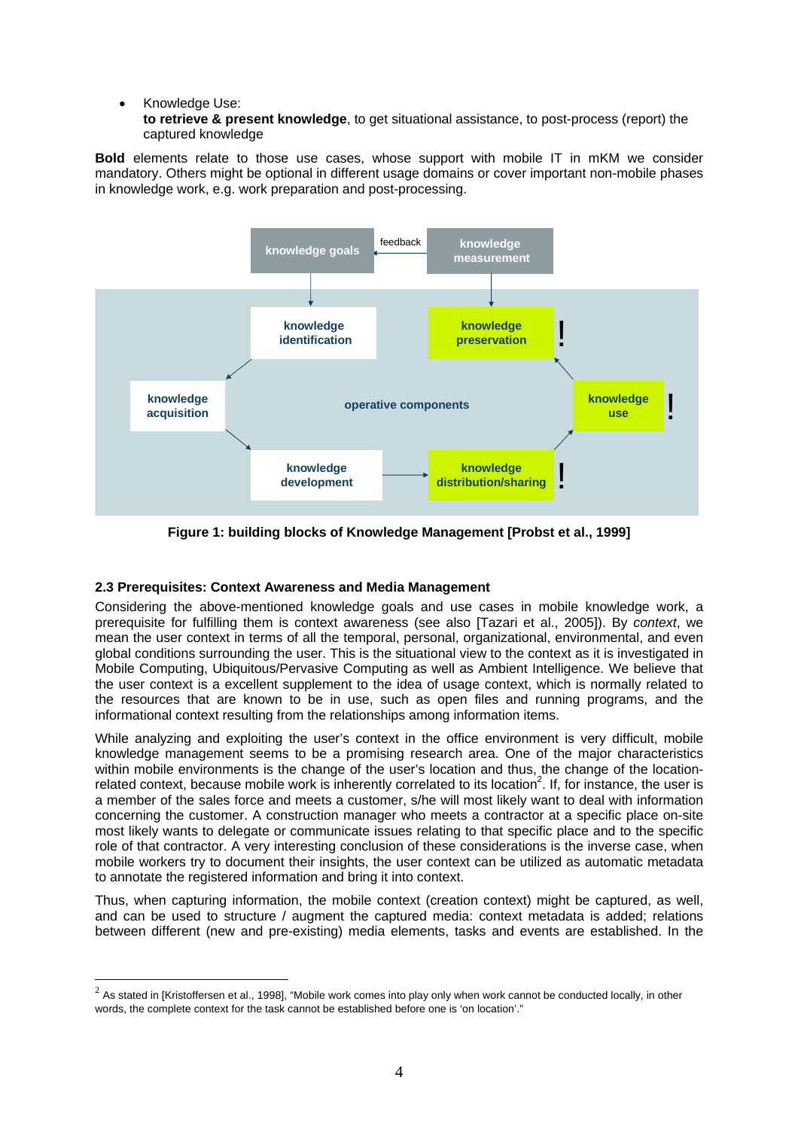# • Knowledge Use:

 $\overline{a}$ 

**to retrieve & present knowledge**, to get situational assistance, to post-process (report) the captured knowledge

**Bold** elements relate to those use cases, whose support with mobile IT in mKM we consider mandatory. Others might be optional in different usage domains or cover important non-mobile phases in knowledge work, e.g. work preparation and post-processing.



**Figure 1: building blocks of Knowledge Management [Probst et al., 1999]**

# **2.3 Prerequisites: Context Awareness and Media Management**

Considering the above-mentioned knowledge goals and use cases in mobile knowledge work, a prerequisite for fulfilling them is context awareness (see also [Tazari et al., 2005]). By *context*, we mean the user context in terms of all the temporal, personal, organizational, environmental, and even global conditions surrounding the user. This is the situational view to the context as it is investigated in Mobile Computing, Ubiquitous/Pervasive Computing as well as Ambient Intelligence. We believe that the user context is a excellent supplement to the idea of usage context, which is normally related to the resources that are known to be in use, such as open files and running programs, and the informational context resulting from the relationships among information items.

While analyzing and exploiting the user's context in the office environment is very difficult, mobile knowledge management seems to be a promising research area. One of the major characteristics within mobile environments is the change of the user's location and thus, the change of the locationrelated context, because mobile work is inherently correlated to its location<sup>2</sup>. If, for instance, the user is a member of the sales force and meets a customer, s/he will most likely want to deal with information concerning the customer. A construction manager who meets a contractor at a specific place on-site most likely wants to delegate or communicate issues relating to that specific place and to the specific role of that contractor. A very interesting conclusion of these considerations is the inverse case, when mobile workers try to document their insights, the user context can be utilized as automatic metadata to annotate the registered information and bring it into context.

Thus, when capturing information, the mobile context (creation context) might be captured, as well, and can be used to structure / augment the captured media: context metadata is added; relations between different (new and pre-existing) media elements, tasks and events are established. In the

 $2$  As stated in [Kristoffersen et al., 1998], "Mobile work comes into play only when work cannot be conducted locally, in other words, the complete context for the task cannot be established before one is 'on location'."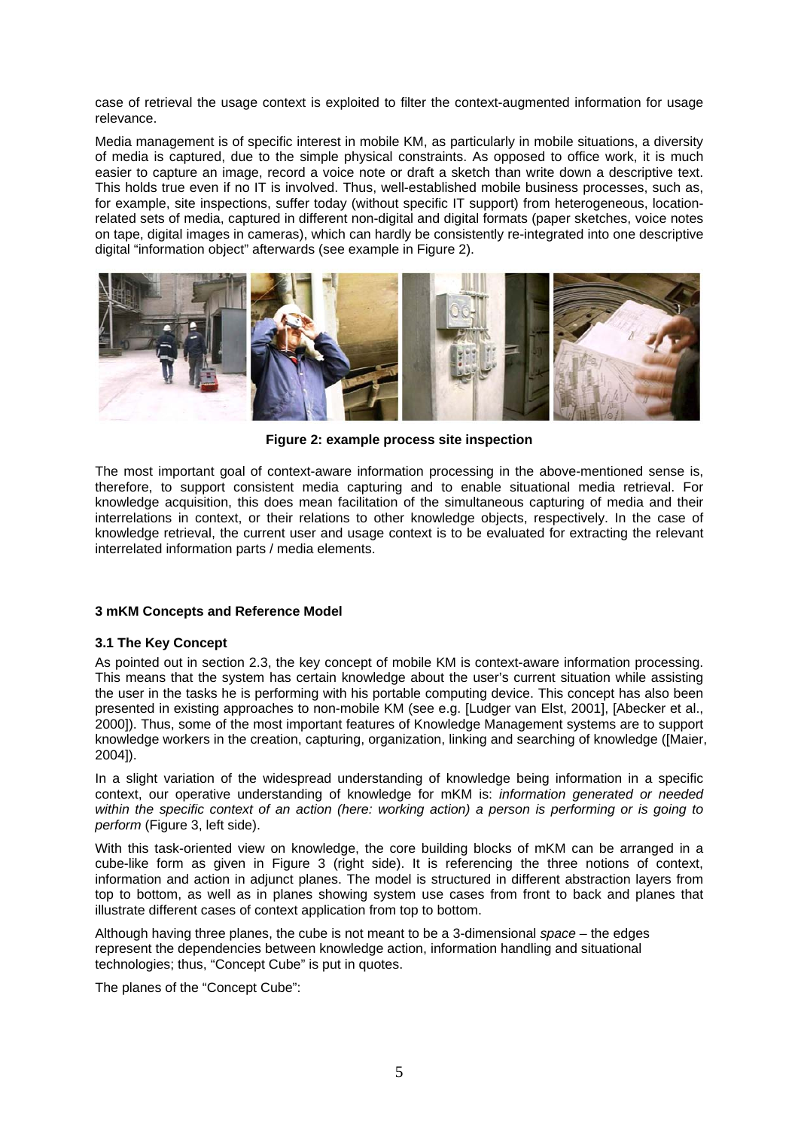case of retrieval the usage context is exploited to filter the context-augmented information for usage relevance.

Media management is of specific interest in mobile KM, as particularly in mobile situations, a diversity of media is captured, due to the simple physical constraints. As opposed to office work, it is much easier to capture an image, record a voice note or draft a sketch than write down a descriptive text. This holds true even if no IT is involved. Thus, well-established mobile business processes, such as, for example, site inspections, suffer today (without specific IT support) from heterogeneous, locationrelated sets of media, captured in different non-digital and digital formats (paper sketches, voice notes on tape, digital images in cameras), which can hardly be consistently re-integrated into one descriptive digital "information object" afterwards (see example in Figure 2).



**Figure 2: example process site inspection**

The most important goal of context-aware information processing in the above-mentioned sense is, therefore, to support consistent media capturing and to enable situational media retrieval. For knowledge acquisition, this does mean facilitation of the simultaneous capturing of media and their interrelations in context, or their relations to other knowledge objects, respectively. In the case of knowledge retrieval, the current user and usage context is to be evaluated for extracting the relevant interrelated information parts / media elements.

# **3 mKM Concepts and Reference Model**

#### **3.1 The Key Concept**

As pointed out in section 2.3, the key concept of mobile KM is context-aware information processing. This means that the system has certain knowledge about the user's current situation while assisting the user in the tasks he is performing with his portable computing device. This concept has also been presented in existing approaches to non-mobile KM (see e.g. [Ludger van Elst, 2001], [Abecker et al., 2000]). Thus, some of the most important features of Knowledge Management systems are to support knowledge workers in the creation, capturing, organization, linking and searching of knowledge ([Maier, 2004]).

In a slight variation of the widespread understanding of knowledge being information in a specific context, our operative understanding of knowledge for mKM is: *information generated or needed within the specific context of an action (here: working action) a person is performing or is going to perform* (Figure 3, left side).

With this task-oriented view on knowledge, the core building blocks of mKM can be arranged in a cube-like form as given in Figure 3 (right side). It is referencing the three notions of context, information and action in adjunct planes. The model is structured in different abstraction layers from top to bottom, as well as in planes showing system use cases from front to back and planes that illustrate different cases of context application from top to bottom.

Although having three planes, the cube is not meant to be a 3-dimensional *space* – the edges represent the dependencies between knowledge action, information handling and situational technologies; thus, "Concept Cube" is put in quotes.

The planes of the "Concept Cube":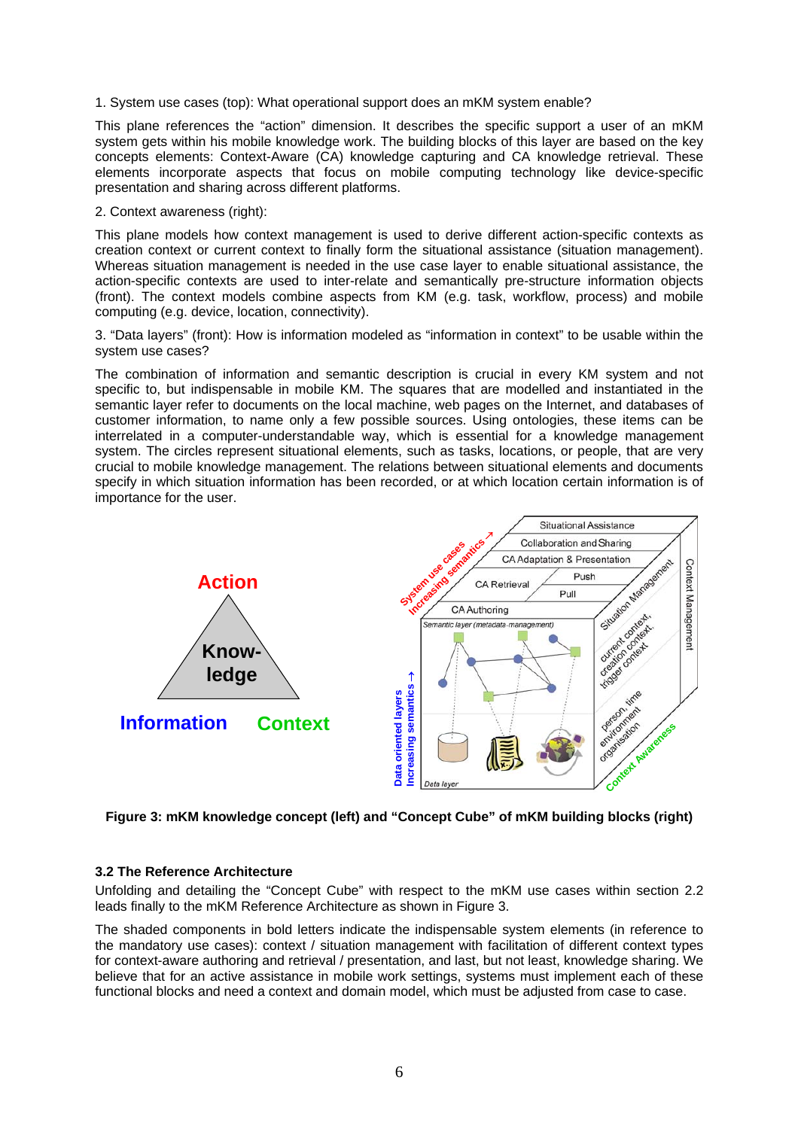1. System use cases (top): What operational support does an mKM system enable?

This plane references the "action" dimension. It describes the specific support a user of an mKM system gets within his mobile knowledge work. The building blocks of this layer are based on the key concepts elements: Context-Aware (CA) knowledge capturing and CA knowledge retrieval. These elements incorporate aspects that focus on mobile computing technology like device-specific presentation and sharing across different platforms.

# 2. Context awareness (right):

This plane models how context management is used to derive different action-specific contexts as creation context or current context to finally form the situational assistance (situation management). Whereas situation management is needed in the use case layer to enable situational assistance, the action-specific contexts are used to inter-relate and semantically pre-structure information objects (front). The context models combine aspects from KM (e.g. task, workflow, process) and mobile computing (e.g. device, location, connectivity).

3. "Data layers" (front): How is information modeled as "information in context" to be usable within the system use cases?

The combination of information and semantic description is crucial in every KM system and not specific to, but indispensable in mobile KM. The squares that are modelled and instantiated in the semantic layer refer to documents on the local machine, web pages on the Internet, and databases of customer information, to name only a few possible sources. Using ontologies, these items can be interrelated in a computer-understandable way, which is essential for a knowledge management system. The circles represent situational elements, such as tasks, locations, or people, that are very crucial to mobile knowledge management. The relations between situational elements and documents specify in which situation information has been recorded, or at which location certain information is of importance for the user.



**Figure 3: mKM knowledge concept (left) and "Concept Cube" of mKM building blocks (right)**

# **3.2 The Reference Architecture**

Unfolding and detailing the "Concept Cube" with respect to the mKM use cases within section 2.2 leads finally to the mKM Reference Architecture as shown in Figure 3.

The shaded components in bold letters indicate the indispensable system elements (in reference to the mandatory use cases): context / situation management with facilitation of different context types for context-aware authoring and retrieval / presentation, and last, but not least, knowledge sharing. We believe that for an active assistance in mobile work settings, systems must implement each of these functional blocks and need a context and domain model, which must be adjusted from case to case.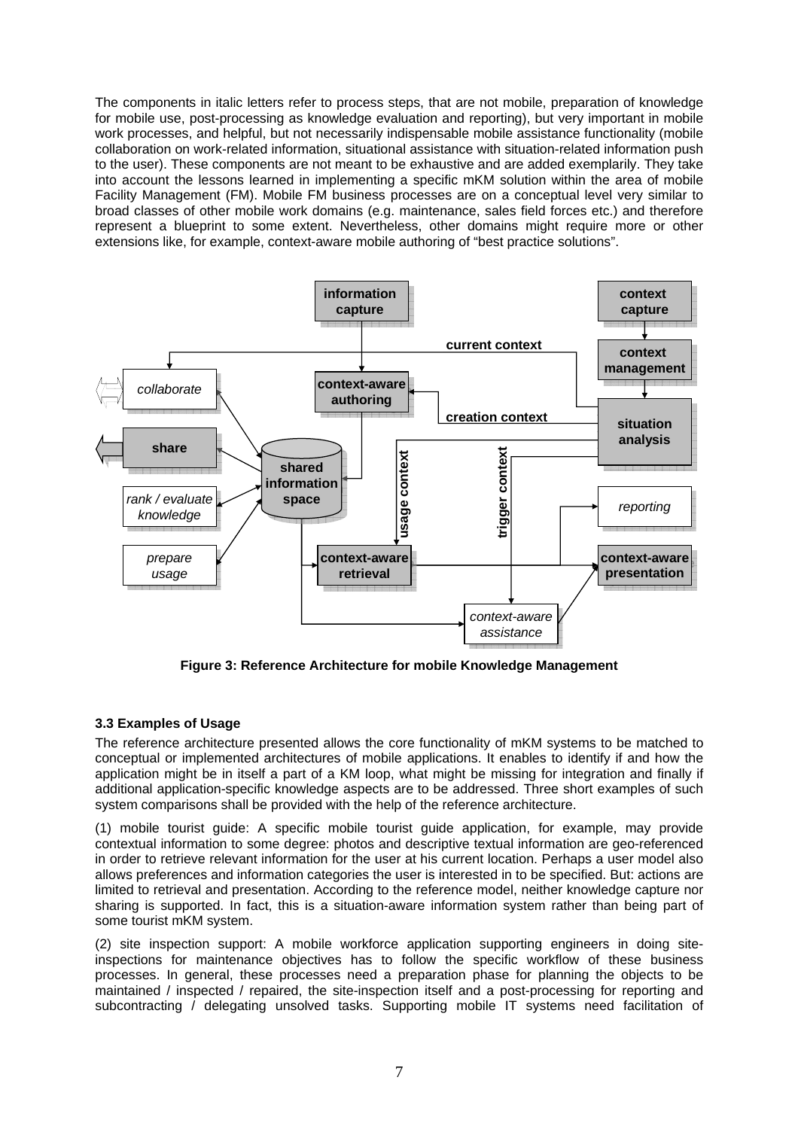The components in italic letters refer to process steps, that are not mobile, preparation of knowledge for mobile use, post-processing as knowledge evaluation and reporting), but very important in mobile work processes, and helpful, but not necessarily indispensable mobile assistance functionality (mobile collaboration on work-related information, situational assistance with situation-related information push to the user). These components are not meant to be exhaustive and are added exemplarily. They take into account the lessons learned in implementing a specific mKM solution within the area of mobile Facility Management (FM). Mobile FM business processes are on a conceptual level very similar to broad classes of other mobile work domains (e.g. maintenance, sales field forces etc.) and therefore represent a blueprint to some extent. Nevertheless, other domains might require more or other extensions like, for example, context-aware mobile authoring of "best practice solutions".



**Figure 3: Reference Architecture for mobile Knowledge Management**

# **3.3 Examples of Usage**

The reference architecture presented allows the core functionality of mKM systems to be matched to conceptual or implemented architectures of mobile applications. It enables to identify if and how the application might be in itself a part of a KM loop, what might be missing for integration and finally if additional application-specific knowledge aspects are to be addressed. Three short examples of such system comparisons shall be provided with the help of the reference architecture.

(1) mobile tourist guide: A specific mobile tourist guide application, for example, may provide contextual information to some degree: photos and descriptive textual information are geo-referenced in order to retrieve relevant information for the user at his current location. Perhaps a user model also allows preferences and information categories the user is interested in to be specified. But: actions are limited to retrieval and presentation. According to the reference model, neither knowledge capture nor sharing is supported. In fact, this is a situation-aware information system rather than being part of some tourist mKM system.

(2) site inspection support: A mobile workforce application supporting engineers in doing siteinspections for maintenance objectives has to follow the specific workflow of these business processes. In general, these processes need a preparation phase for planning the objects to be maintained / inspected / repaired, the site-inspection itself and a post-processing for reporting and subcontracting / delegating unsolved tasks. Supporting mobile IT systems need facilitation of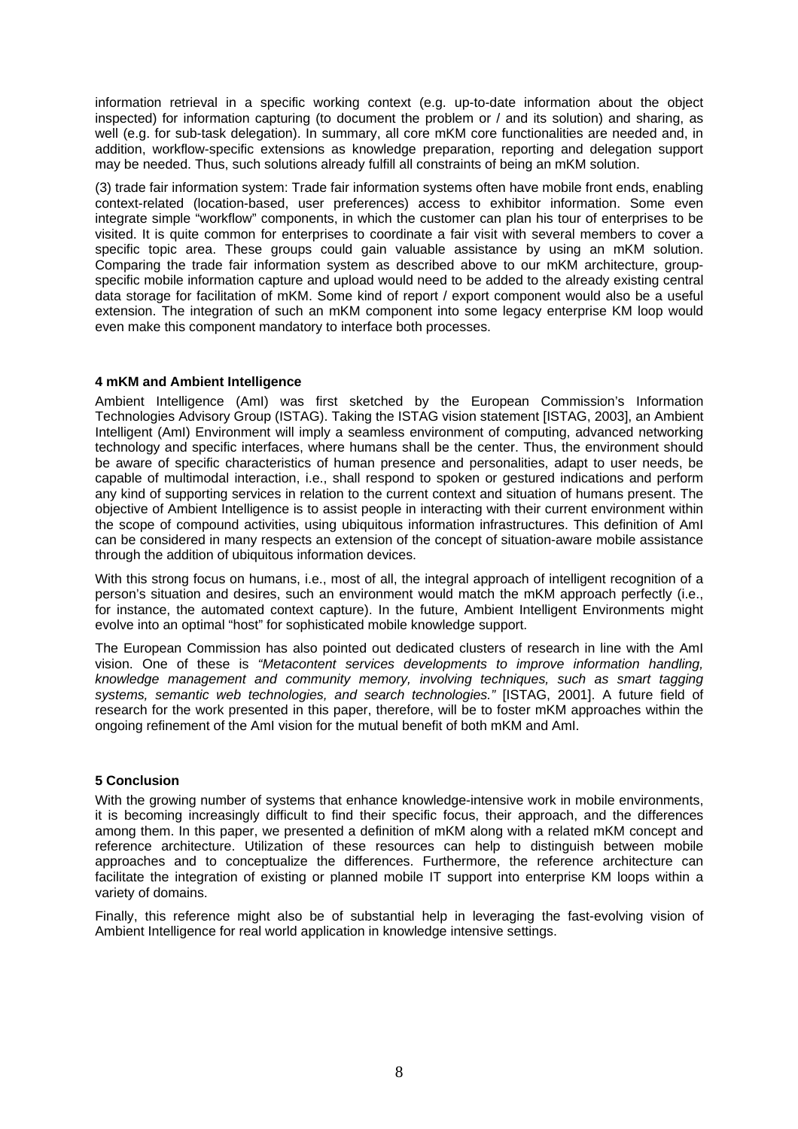information retrieval in a specific working context (e.g. up-to-date information about the object inspected) for information capturing (to document the problem or / and its solution) and sharing, as well (e.g. for sub-task delegation). In summary, all core mKM core functionalities are needed and, in addition, workflow-specific extensions as knowledge preparation, reporting and delegation support may be needed. Thus, such solutions already fulfill all constraints of being an mKM solution.

(3) trade fair information system: Trade fair information systems often have mobile front ends, enabling context-related (location-based, user preferences) access to exhibitor information. Some even integrate simple "workflow" components, in which the customer can plan his tour of enterprises to be visited. It is quite common for enterprises to coordinate a fair visit with several members to cover a specific topic area. These groups could gain valuable assistance by using an mKM solution. Comparing the trade fair information system as described above to our mKM architecture, groupspecific mobile information capture and upload would need to be added to the already existing central data storage for facilitation of mKM. Some kind of report / export component would also be a useful extension. The integration of such an mKM component into some legacy enterprise KM loop would even make this component mandatory to interface both processes.

# **4 mKM and Ambient Intelligence**

Ambient Intelligence (AmI) was first sketched by the European Commission's Information Technologies Advisory Group (ISTAG). Taking the ISTAG vision statement [ISTAG, 2003], an Ambient Intelligent (AmI) Environment will imply a seamless environment of computing, advanced networking technology and specific interfaces, where humans shall be the center. Thus, the environment should be aware of specific characteristics of human presence and personalities, adapt to user needs, be capable of multimodal interaction, i.e., shall respond to spoken or gestured indications and perform any kind of supporting services in relation to the current context and situation of humans present. The objective of Ambient Intelligence is to assist people in interacting with their current environment within the scope of compound activities, using ubiquitous information infrastructures. This definition of AmI can be considered in many respects an extension of the concept of situation-aware mobile assistance through the addition of ubiquitous information devices.

With this strong focus on humans, i.e., most of all, the integral approach of intelligent recognition of a person's situation and desires, such an environment would match the mKM approach perfectly (i.e., for instance, the automated context capture). In the future, Ambient Intelligent Environments might evolve into an optimal "host" for sophisticated mobile knowledge support.

The European Commission has also pointed out dedicated clusters of research in line with the AmI vision. One of these is *"Metacontent services developments to improve information handling, knowledge management and community memory, involving techniques, such as smart tagging systems, semantic web technologies, and search technologies."* [ISTAG, 2001]. A future field of research for the work presented in this paper, therefore, will be to foster mKM approaches within the ongoing refinement of the AmI vision for the mutual benefit of both mKM and AmI.

#### **5 Conclusion**

With the growing number of systems that enhance knowledge-intensive work in mobile environments, it is becoming increasingly difficult to find their specific focus, their approach, and the differences among them. In this paper, we presented a definition of mKM along with a related mKM concept and reference architecture. Utilization of these resources can help to distinguish between mobile approaches and to conceptualize the differences. Furthermore, the reference architecture can facilitate the integration of existing or planned mobile IT support into enterprise KM loops within a variety of domains.

Finally, this reference might also be of substantial help in leveraging the fast-evolving vision of Ambient Intelligence for real world application in knowledge intensive settings.